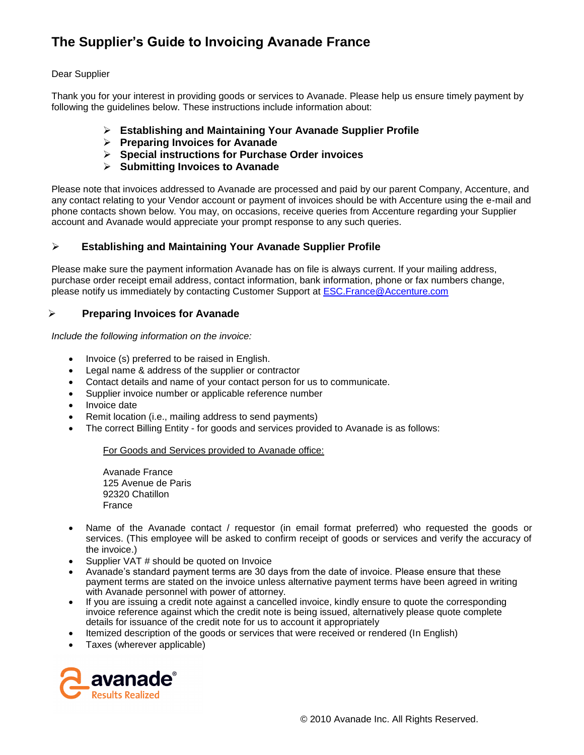# **The Supplier's Guide to Invoicing Avanade France**

## Dear Supplier

Thank you for your interest in providing goods or services to Avanade. Please help us ensure timely payment by following the guidelines below. These instructions include information about:

- **Establishing and Maintaining Your Avanade Supplier Profile**
- **Preparing Invoices for Avanade**
- **Special instructions for Purchase Order invoices**
- **Submitting Invoices to Avanade**

Please note that invoices addressed to Avanade are processed and paid by our parent Company, Accenture, and any contact relating to your Vendor account or payment of invoices should be with Accenture using the e-mail and phone contacts shown below. You may, on occasions, receive queries from Accenture regarding your Supplier account and Avanade would appreciate your prompt response to any such queries.

## **Establishing and Maintaining Your Avanade Supplier Profile**

Please make sure the payment information Avanade has on file is always current. If your mailing address, purchase order receipt email address, contact information, bank information, phone or fax numbers change, please notify us immediately by contacting Customer Support at [ESC.France@Accenture.com](mailto:ESC.France@Accenture.com)

## **Preparing Invoices for Avanade**

*Include the following information on the invoice:*

- Invoice (s) preferred to be raised in English.
- Legal name & address of the supplier or contractor
- Contact details and name of your contact person for us to communicate.
- Supplier invoice number or applicable reference number
- Invoice date
- Remit location (i.e., mailing address to send payments)
- The correct Billing Entity for goods and services provided to Avanade is as follows:

For Goods and Services provided to Avanade office:

Avanade France 125 Avenue de Paris 92320 Chatillon France

- Name of the Avanade contact / requestor (in email format preferred) who requested the goods or services. (This employee will be asked to confirm receipt of goods or services and verify the accuracy of the invoice.)
- Supplier VAT # should be quoted on Invoice
- Avanade's standard payment terms are 30 days from the date of invoice. Please ensure that these payment terms are stated on the invoice unless alternative payment terms have been agreed in writing with Avanade personnel with power of attorney.
- If you are issuing a credit note against a cancelled invoice, kindly ensure to quote the corresponding invoice reference against which the credit note is being issued, alternatively please quote complete details for issuance of the credit note for us to account it appropriately
- Itemized description of the goods or services that were received or rendered (In English)
- Taxes (wherever applicable)

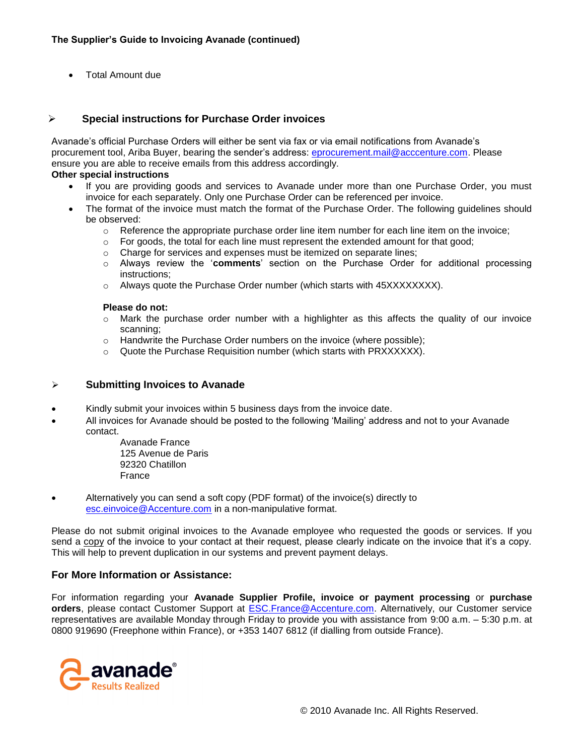Total Amount due

### **Special instructions for Purchase Order invoices**

Avanade's official Purchase Orders will either be sent via fax or via email notifications from Avanade's procurement tool, Ariba Buyer, bearing the sender's address: [eprocurement.mail@acccenture.com.](mailto:eprocurement.mail@acccenture.com) Please ensure you are able to receive emails from this address accordingly.

#### **Other special instructions**

- If you are providing goods and services to Avanade under more than one Purchase Order, you must invoice for each separately. Only one Purchase Order can be referenced per invoice.
- The format of the invoice must match the format of the Purchase Order. The following guidelines should be observed:
	- $\circ$  Reference the appropriate purchase order line item number for each line item on the invoice;
	- o For goods, the total for each line must represent the extended amount for that good;
	- o Charge for services and expenses must be itemized on separate lines;
	- o Always review the '**comments**' section on the Purchase Order for additional processing instructions;
	- $\circ$  Always quote the Purchase Order number (which starts with 45XXXXXXXX).

#### **Please do not:**

- $\circ$  Mark the purchase order number with a highlighter as this affects the quality of our invoice scanning;
- o Handwrite the Purchase Order numbers on the invoice (where possible);
- o Quote the Purchase Requisition number (which starts with PRXXXXXX).

#### **Submitting Invoices to Avanade**

- Kindly submit your invoices within 5 business days from the invoice date.
- All invoices for Avanade should be posted to the following 'Mailing' address and not to your Avanade contact.

Avanade France 125 Avenue de Paris 92320 Chatillon France

 Alternatively you can send a soft copy (PDF format) of the invoice(s) directly to [esc.einvoice@Accenture.com](mailto:esc.einvoice@Accenture.com) in a non-manipulative format.

Please do not submit original invoices to the Avanade employee who requested the goods or services. If you send a copy of the invoice to your contact at their request, please clearly indicate on the invoice that it's a copy. This will help to prevent duplication in our systems and prevent payment delays.

#### **For More Information or Assistance:**

For information regarding your **Avanade Supplier Profile, invoice or payment processing** or **purchase orders**, please contact Customer Support at [ESC.France@Accenture.com.](mailto:ESC.France@Accenture.com) Alternatively, our Customer service representatives are available Monday through Friday to provide you with assistance from 9:00 a.m. – 5:30 p.m. at 0800 919690 (Freephone within France), or +353 1407 6812 (if dialling from outside France).